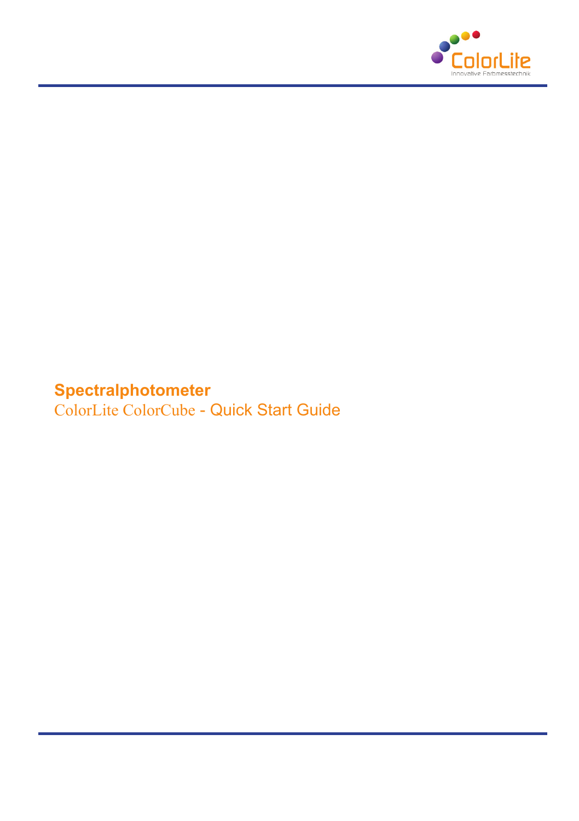

# **Spectralphotometer**

ColorLite ColorCube - Quick Start Guide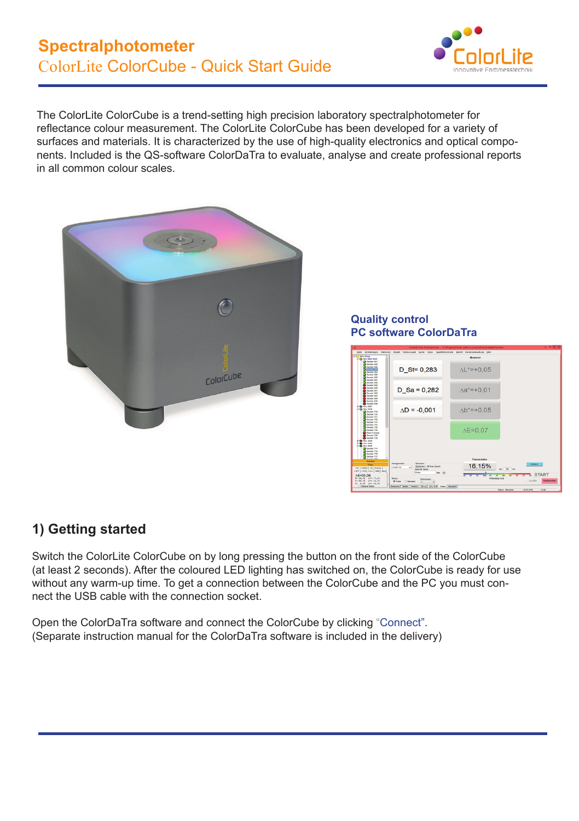

The ColorLite ColorCube is a trend-setting high precision laboratory spectralphotometer for reflectance colour measurement. The ColorLite ColorCube has been developed for a variety of surfaces and materials. It is characterized by the use of high-quality electronics and optical components. Included is the QS-software ColorDaTra to evaluate, analyse and create professional reports in all common colour scales.



**Quality control PC software ColorDaTra**



## **1) Getting started**

Switch the ColorLite ColorCube on by long pressing the button on the front side of the ColorCube (at least 2 seconds). After the coloured LED lighting has switched on, the ColorCube is ready for use without any warm-up time. To get a connection between the ColorCube and the PC you must connect the USB cable with the connection socket.

Open the ColorDaTra software and connect the ColorCube by clicking "Connect". (Separate instruction manual for the ColorDaTra software is included in the delivery)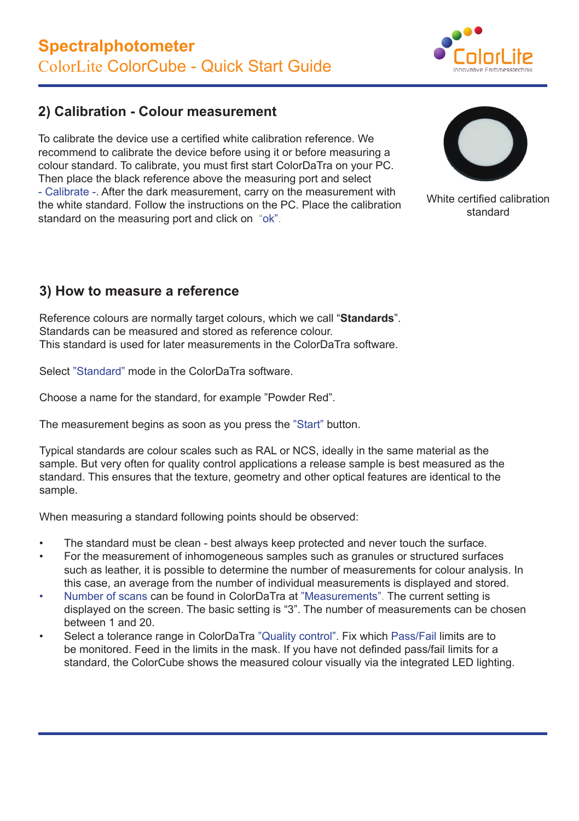

### **2) Calibration - Colour measurement**

To calibrate the device use a certified white calibration reference. We recommend to calibrate the device before using it or before measuring a colour standard. To calibrate, you must first start ColorDaTra on your PC. Then place the black reference above the measuring port and select - Calibrate -. After the dark measurement, carry on the measurement with the white standard. Follow the instructions on the PC. Place the calibration standard on the measuring port and click on "ok".



White certified calibration standard

### **3) How to measure a reference**

Reference colours are normally target colours, which we call "**Standards**". Standards can be measured and stored as reference colour. This standard is used for later measurements in the ColorDaTra software.

Select "Standard" mode in the ColorDaTra software.

Choose a name for the standard, for example "Powder Red".

The measurement begins as soon as you press the "Start" button.

Typical standards are colour scales such as RAL or NCS, ideally in the same material as the sample. But very often for quality control applications a release sample is best measured as the standard. This ensures that the texture, geometry and other optical features are identical to the sample.

When measuring a standard following points should be observed:

- The standard must be clean best always keep protected and never touch the surface.
- For the measurement of inhomogeneous samples such as granules or structured surfaces such as leather, it is possible to determine the number of measurements for colour analysis. In this case, an average from the number of individual measurements is displayed and stored.
- Number of scans can be found in ColorDaTra at "Measurements". The current setting is displayed on the screen. The basic setting is "3". The number of measurements can be chosen between 1 and 20.
- Select a tolerance range in ColorDaTra "Quality control". Fix which Pass/Fail limits are to be monitored. Feed in the limits in the mask. If you have not definded pass/fail limits for a standard, the ColorCube shows the measured colour visually via the integrated LED lighting.